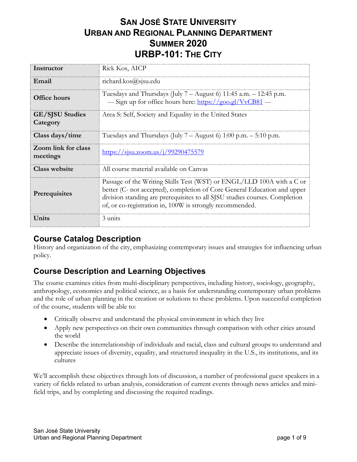# **SAN JOSÉ STATE UNIVERSITY URBAN AND REGIONAL PLANNING DEPARTMENT SUMMER 2020 URBP-101: THE CITY**

| Instructor                         | Rick Kos, AICP                                                                                                                                                                                                                                                                               |
|------------------------------------|----------------------------------------------------------------------------------------------------------------------------------------------------------------------------------------------------------------------------------------------------------------------------------------------|
| Email                              | richard.kos@sjsu.edu                                                                                                                                                                                                                                                                         |
| <b>Office hours</b>                | Tuesdays and Thursdays (July $7 -$ August 6) 11:45 a.m. $-$ 12:45 p.m.<br>--- Sign up for office hours here: https://goo.gl/VvCB81 ---                                                                                                                                                       |
| <b>GE/SJSU Studies</b><br>Category | Area S: Self, Society and Equality in the United States                                                                                                                                                                                                                                      |
| Class days/time                    | Tuesdays and Thursdays (July 7 – August 6) 1:00 p.m. $-$ 5:10 p.m.                                                                                                                                                                                                                           |
| Zoom link for class<br>meetings    | $\frac{\text{https://sisu.zoom.us/j/99290475579}}{2}$                                                                                                                                                                                                                                        |
| Class website                      | All course material available on Canvas                                                                                                                                                                                                                                                      |
| Prerequisites                      | Passage of the Writing Skills Test (WST) or ENGL/LLD 100A with a C or<br>better (C- not accepted), completion of Core General Education and upper<br>division standing are prerequisites to all SJSU studies courses. Completion<br>of, or co-registration in, 100W is strongly recommended. |
| Units                              | 3 units                                                                                                                                                                                                                                                                                      |

### **Course Catalog Description**

History and organization of the city, emphasizing contemporary issues and strategies for influencing urban policy.

# **Course Description and Learning Objectives**

The course examines cities from multi-disciplinary perspectives, including history, sociology, geography, anthropology, economics and political science, as a basis for understanding contemporary urban problems and the role of urban planning in the creation or solutions to these problems. Upon successful completion of the course, students will be able to:

- Critically observe and understand the physical environment in which they live
- Apply new perspectives on their own communities through comparison with other cities around the world
- Describe the interrelationship of individuals and racial, class and cultural groups to understand and appreciate issues of diversity, equality, and structured inequality in the U.S., its institutions, and its cultures

We'll accomplish these objectives through lots of discussion, a number of professional guest speakers in a variety of fields related to urban analysis, consideration of current events through news articles and minifield trips, and by completing and discussing the required readings.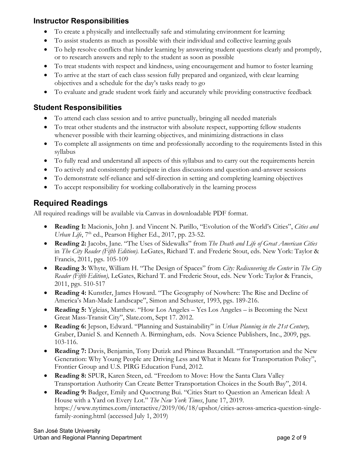#### **Instructor Responsibilities**

- To create a physically and intellectually safe and stimulating environment for learning
- To assist students as much as possible with their individual and collective learning goals
- To help resolve conflicts that hinder learning by answering student questions clearly and promptly, or to research answers and reply to the student as soon as possible
- To treat students with respect and kindness, using encouragement and humor to foster learning
- To arrive at the start of each class session fully prepared and organized, with clear learning objectives and a schedule for the day's tasks ready to go
- To evaluate and grade student work fairly and accurately while providing constructive feedback

#### **Student Responsibilities**

- To attend each class session and to arrive punctually, bringing all needed materials
- To treat other students and the instructor with absolute respect, supporting fellow students whenever possible with their learning objectives, and minimizing distractions in class
- To complete all assignments on time and professionally according to the requirements listed in this syllabus
- To fully read and understand all aspects of this syllabus and to carry out the requirements herein
- To actively and consistently participate in class discussions and question-and-answer sessions
- To demonstrate self-reliance and self-direction in setting and completing learning objectives
- To accept responsibility for working collaboratively in the learning process

### **Required Readings**

All required readings will be available via Canvas in downloadable PDF format.

- **Reading 1:** Macionis, John J. and Vincent N. Parillo, "Evolution of the World's Cities", *Cities and Urban Life*, 7<sup>th</sup> ed., Pearson Higher Ed., 2017, pp. 23-52.
- **Reading 2:** Jacobs, Jane. "The Uses of Sidewalks" from *The Death and Life of Great American Cities* in *The City Reader (Fifth Edition).* LeGates, Richard T. and Frederic Stout, eds. New York: Taylor & Francis, 2011, pgs. 105-109
- **Reading 3:** Whyte, William H. "The Design of Spaces" from *City: Rediscovering the Center* in *The City Reader (Fifth Edition),* LeGates, Richard T. and Frederic Stout, eds. New York: Taylor & Francis, 2011, pgs. 510-517
- **Reading 4:** Kunstler, James Howard. "The Geography of Nowhere: The Rise and Decline of America's Man-Made Landscape", Simon and Schuster, 1993, pgs. 189-216.
- **Reading 5:** Ygleias, Matthew. "How Los Angeles Yes Los Angeles is Becoming the Next Great Mass-Transit City", Slate.com, Sept 17. 2012.
- **Reading 6:** Jepson, Edward. "Planning and Sustainability" in *Urban Planning in the 21st Century,*  Graber, Daniel S. and Kenneth A. Birmingham, eds. Nova Science Publishers, Inc., 2009, pgs. 103-116.
- **Reading 7:** Davis, Benjamin, Tony Dutizk and Phineas Baxandall. "Transportation and the New Generation: Why Young People are Driving Less and What it Means for Transportation Policy", Frontier Group and U.S. PIRG Education Fund, 2012.
- **Reading 8:** SPUR, Karen Steen, ed. "Freedom to Move: How the Santa Clara Valley Transportation Authority Can Create Better Transportation Choices in the South Bay", 2014.
- **Reading 9:** Badger, Emily and Quoctrung Bui. "Cities Start to Question an American Ideal: A House with a Yard on Every Lot." *The New York Times*, June 17, 2019. https://www.nytimes.com/interactive/2019/06/18/upshot/cities-across-america-question-singlefamily-zoning.html (accessed July 1, 2019)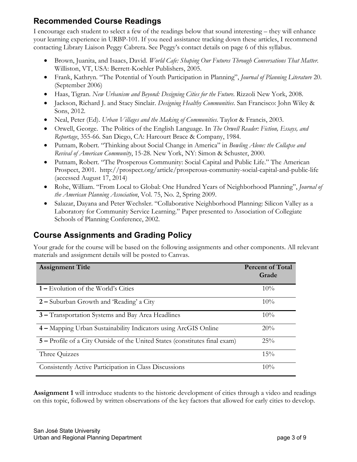### **Recommended Course Readings**

I encourage each student to select a few of the readings below that sound interesting – they will enhance your learning experience in URBP-101. If you need assistance tracking down these articles, I recommend contacting Library Liaison Peggy Cabrera. See Peggy's contact details on page 6 of this syllabus.

- Brown, Juanita, and Isaacs, David. *World Cafe: Shaping Our Futures Through Conversations That Matter*. Williston, VT, USA: Berrett-Koehler Publishers, 2005.
- Frank, Kathryn. "The Potential of Youth Participation in Planning", *Journal of Planning Literature* 20. (September 2006)
- Haas, Tigran. *New Urbanism and Beyond: Designing Cities for the Future*. Rizzoli New York, 2008.
- Jackson, Richard J. and Stacy Sinclair. *Designing Healthy Communities*. San Francisco: John Wiley & Sons, 2012.
- Neal, Peter (Ed). *Urban Villages and the Making of Communities*. Taylor & Francis, 2003.
- Orwell, George. The Politics of the English Language. In *The Orwell Reader: Fiction, Essays, and Reportage*, 355-66. San Diego, CA: Harcourt Brace & Company, 1984.
- Putnam, Robert. "Thinking about Social Change in America" in *Bowling Alone: the Collapse and Revival of American Community*, 15-28. New York, NY: Simon & Schuster, 2000.
- Putnam, Robert. "The Prosperous Community: Social Capital and Public Life." The American Prospect, 2001. http://prospect.org/article/prosperous-community-social-capital-and-public-life (accessed August 17, 2014)
- Rohe, William. "From Local to Global: One Hundred Years of Neighborhood Planning", *Journal of the American Planning Association*, Vol. 75, No. 2, Spring 2009.
- Salazar, Dayana and Peter Wechsler. "Collaborative Neighborhood Planning: Silicon Valley as a Laboratory for Community Service Learning." Paper presented to Association of Collegiate Schools of Planning Conference, 2002.

# **Course Assignments and Grading Policy**

Your grade for the course will be based on the following assignments and other components. All relevant materials and assignment details will be posted to Canvas.

| <b>Assignment Title</b>                                                     | <b>Percent of Total</b><br>Grade |
|-----------------------------------------------------------------------------|----------------------------------|
|                                                                             |                                  |
| 1 – Evolution of the World's Cities                                         | 10%                              |
| 2 – Suburban Growth and 'Reading' a City                                    | $10\%$                           |
| 3 – Transportation Systems and Bay Area Headlines                           | 10%                              |
| 4 – Mapping Urban Sustainability Indicators using ArcGIS Online             | 20%                              |
| 5 – Profile of a City Outside of the United States (constitutes final exam) | 25%                              |
| Three Quizzes                                                               | 15%                              |
| Consistently Active Participation in Class Discussions                      | $10\%$                           |

**Assignment 1** will introduce students to the historic development of cities through a video and readings on this topic, followed by written observations of the key factors that allowed for early cities to develop.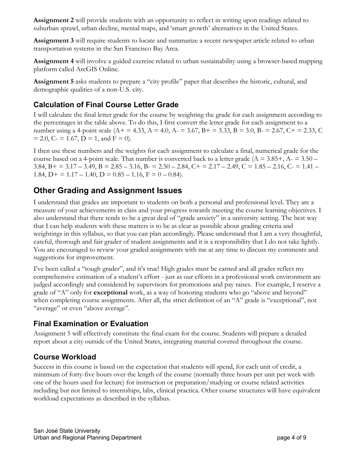**Assignment 2** will provide students with an opportunity to reflect in writing upon readings related to suburban sprawl, urban decline, mental maps, and 'smart growth' alternatives in the United States.

**Assignment 3** will require students to locate and summarize a recent newspaper article related to urban transportation systems in the San Francisco Bay Area.

**Assignment 4** will involve a guided exercise related to urban sustainability using a browser-based mapping platform called ArcGIS Online.

**Assignment 5** asks students to prepare a "city profile" paper that describes the historic, cultural, and demographic qualities of a non-U.S. city.

### **Calculation of Final Course Letter Grade**

I will calculate the final letter grade for the course by weighting the grade for each assignment according to the percentages in the table above. To do this, I first convert the letter grade for each assignment to a number using a 4-point scale ( $A$  + = 4.33,  $A$  = 4.0,  $A$  = 3.67,  $B$  + = 3.33,  $B$  = 3.0,  $B$  = 2.67,  $C$  + = 2.33,  $C$  $= 2.0, C = 1.67, D = 1, and F = 0.$ 

I then use these numbers and the weights for each assignment to calculate a final, numerical grade for the course based on a 4-point scale. That number is converted back to a letter grade ( $A = 3.85 +$ ,  $A = 3.50 -$ 3.84, B + = 3.17 – 3.49, B = 2.85 – 3.16, B =  $2.50 - 2.84$ , C + =  $2.17 - 2.49$ , C =  $1.85 - 2.16$ , C =  $1.41 -$ 1.84,  $D$ + = 1.17 – 1.40,  $D$  = 0.85 – 1.16,  $F = 0 - 0.84$ .

### **Other Grading and Assignment Issues**

I understand that grades are important to students on both a personal and professional level. They are a measure of your achievements in class and your progress towards meeting the course learning objectives. I also understand that there tends to be a great deal of "grade anxiety" in a university setting. The best way that I can help students with these matters is to be as clear as possible about grading criteria and weightings in this syllabus, so that you can plan accordingly. Please understand that I am a very thoughtful, careful, thorough and fair grader of student assignments and it is a responsibility that I do not take lightly. You are encouraged to review your graded assignments with me at any time to discuss my comments and suggestions for improvement.

I've been called a "tough grader", and it's true! High grades must be earned and all grades reflect my comprehensive estimation of a student's effort - just as our efforts in a professional work environment are judged accordingly and considered by supervisors for promotions and pay raises. For example, I reserve a grade of "A" only for **exceptional** work, as a way of honoring students who go "above and beyond" when completing course assignments. After all, the strict definition of an "A" grade is "exceptional", not "average" or even "above average".

#### **Final Examination or Evaluation**

Assignment 5 will effectively constitute the final exam for the course. Students will prepare a detailed report about a city outside of the United States, integrating material covered throughout the course.

#### **Course Workload**

Success in this course is based on the expectation that students will spend, for each unit of credit, a minimum of forty-five hours over the length of the course (normally three hours per unit per week with one of the hours used for lecture) for instruction or preparation/studying or course related activities including but not limited to internships, labs, clinical practica. Other course structures will have equivalent workload expectations as described in the syllabus.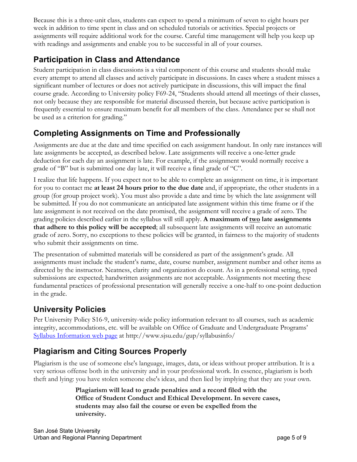Because this is a three-unit class, students can expect to spend a minimum of seven to eight hours per week in addition to time spent in class and on scheduled tutorials or activities. Special projects or assignments will require additional work for the course. Careful time management will help you keep up with readings and assignments and enable you to be successful in all of your courses.

# **Participation in Class and Attendance**

Student participation in class discussions is a vital component of this course and students should make every attempt to attend all classes and actively participate in discussions. In cases where a student misses a significant number of lectures or does not actively participate in discussions, this will impact the final course grade. According to University policy F69-24, "Students should attend all meetings of their classes, not only because they are responsible for material discussed therein, but because active participation is frequently essential to ensure maximum benefit for all members of the class. Attendance per se shall not be used as a criterion for grading."

### **Completing Assignments on Time and Professionally**

Assignments are due at the date and time specified on each assignment handout. In only rare instances will late assignments be accepted, as described below. Late assignments will receive a one-letter grade deduction for each day an assignment is late. For example, if the assignment would normally receive a grade of "B" but is submitted one day late, it will receive a final grade of "C".

I realize that life happens. If you expect not to be able to complete an assignment on time, it is important for you to contact me **at least 24 hours prior to the due date** and, if appropriate, the other students in a group (for group project work). You must also provide a date and time by which the late assignment will be submitted. If you do not communicate an anticipated late assignment within this time frame or if the late assignment is not received on the date promised, the assignment will receive a grade of zero. The grading policies described earlier in the syllabus will still apply. **A maximum of two late assignments that adhere to this policy will be accepted**; all subsequent late assignments will receive an automatic grade of zero. Sorry, no exceptions to these policies will be granted, in fairness to the majority of students who submit their assignments on time.

The presentation of submitted materials will be considered as part of the assignment's grade. All assignments must include the student's name, date, course number, assignment number and other items as directed by the instructor. Neatness, clarity and organization do count. As in a professional setting, typed submissions are expected; handwritten assignments are not acceptable. Assignments not meeting these fundamental practices of professional presentation will generally receive a one-half to one-point deduction in the grade.

# **University Policies**

Per University Policy S16-9, university-wide policy information relevant to all courses, such as academic integrity, accommodations, etc. will be available on Office of Graduate and Undergraduate Programs' Syllabus Information web page at http://www.sjsu.edu/gup/syllabusinfo/

# **Plagiarism and Citing Sources Properly**

Plagiarism is the use of someone else's language, images, data, or ideas without proper attribution. It is a very serious offense both in the university and in your professional work. In essence, plagiarism is both theft and lying: you have stolen someone else's ideas, and then lied by implying that they are your own.

> **Plagiarism will lead to grade penalties and a record filed with the Office of Student Conduct and Ethical Development. In severe cases, students may also fail the course or even be expelled from the university.**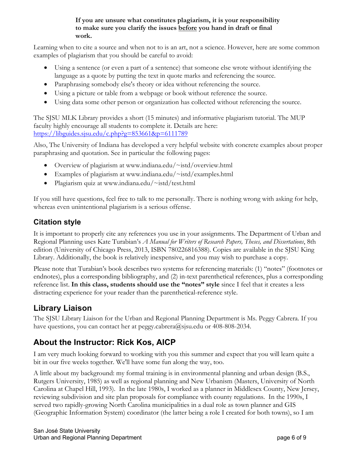#### **If you are unsure what constitutes plagiarism, it is your responsibility to make sure you clarify the issues before you hand in draft or final work.**

Learning when to cite a source and when not to is an art, not a science. However, here are some common examples of plagiarism that you should be careful to avoid:

- Using a sentence (or even a part of a sentence) that someone else wrote without identifying the language as a quote by putting the text in quote marks and referencing the source.
- Paraphrasing somebody else's theory or idea without referencing the source.
- Using a picture or table from a webpage or book without reference the source.
- Using data some other person or organization has collected without referencing the source.

The SJSU MLK Library provides a short (15 minutes) and informative plagiarism tutorial. The MUP faculty highly encourage all students to complete it. Details are here: https://libguides.sjsu.edu/c.php?g=853661&p=6111789

Also, The University of Indiana has developed a very helpful website with concrete examples about proper paraphrasing and quotation. See in particular the following pages:

- Overview of plagiarism at www.indiana.edu/~istd/overview.html
- Examples of plagiarism at www.indiana.edu/~istd/examples.html
- Plagiarism quiz at www.indiana.edu/~istd/test.html

If you still have questions, feel free to talk to me personally. There is nothing wrong with asking for help, whereas even unintentional plagiarism is a serious offense.

### **Citation style**

It is important to properly cite any references you use in your assignments. The Department of Urban and Regional Planning uses Kate Turabian's *A Manual for Writers of Research Papers, Theses, and Dissertations*, 8th edition (University of Chicago Press, 2013, ISBN 780226816388). Copies are available in the SJSU King Library. Additionally, the book is relatively inexpensive, and you may wish to purchase a copy.

Please note that Turabian's book describes two systems for referencing materials: (1) "notes" (footnotes or endnotes), plus a corresponding bibliography, and (2) in-text parenthetical references, plus a corresponding reference list. **In this class, students should use the "notes" style** since I feel that it creates a less distracting experience for your reader than the parenthetical-reference style.

### **Library Liaison**

The SJSU Library Liaison for the Urban and Regional Planning Department is Ms. Peggy Cabrera. If you have questions, you can contact her at peggy.cabrera@sjsu.edu or 408-808-2034.

# **About the Instructor: Rick Kos, AICP**

I am very much looking forward to working with you this summer and expect that you will learn quite a bit in our five weeks together. We'll have some fun along the way, too.

A little about my background: my formal training is in environmental planning and urban design (B.S., Rutgers University, 1985) as well as regional planning and New Urbanism (Masters, University of North Carolina at Chapel Hill, 1993). In the late 1980s, I worked as a planner in Middlesex County, New Jersey, reviewing subdivision and site plan proposals for compliance with county regulations. In the 1990s, I served two rapidly-growing North Carolina municipalities in a dual role as town planner and GIS (Geographic Information System) coordinator (the latter being a role I created for both towns), so I am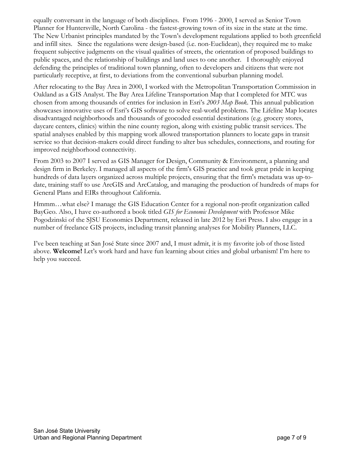equally conversant in the language of both disciplines. From 1996 - 2000, I served as Senior Town Planner for Huntersville, North Carolina - the fastest-growing town of its size in the state at the time. The New Urbanist principles mandated by the Town's development regulations applied to both greenfield and infill sites. Since the regulations were design-based (i.e. non-Euclidean), they required me to make frequent subjective judgments on the visual qualities of streets, the orientation of proposed buildings to public spaces, and the relationship of buildings and land uses to one another. I thoroughly enjoyed defending the principles of traditional town planning, often to developers and citizens that were not particularly receptive, at first, to deviations from the conventional suburban planning model.

After relocating to the Bay Area in 2000, I worked with the Metropolitan Transportation Commission in Oakland as a GIS Analyst. The Bay Area Lifeline Transportation Map that I completed for MTC was chosen from among thousands of entries for inclusion in Esri's *2003 Map Book*. This annual publication showcases innovative uses of Esri's GIS software to solve real-world problems. The Lifeline Map locates disadvantaged neighborhoods and thousands of geocoded essential destinations (e.g. grocery stores, daycare centers, clinics) within the nine county region, along with existing public transit services. The spatial analyses enabled by this mapping work allowed transportation planners to locate gaps in transit service so that decision-makers could direct funding to alter bus schedules, connections, and routing for improved neighborhood connectivity.

From 2003 to 2007 I served as GIS Manager for Design, Community & Environment, a planning and design firm in Berkeley. I managed all aspects of the firm's GIS practice and took great pride in keeping hundreds of data layers organized across multiple projects, ensuring that the firm's metadata was up-todate, training staff to use ArcGIS and ArcCatalog, and managing the production of hundreds of maps for General Plans and EIRs throughout California.

Hmmm…what else? I manage the GIS Education Center for a regional non-profit organization called BayGeo. Also, I have co-authored a book titled *GIS for Economic Development* with Professor Mike Pogodzinski of the SJSU Economics Department, released in late 2012 by Esri Press. I also engage in a number of freelance GIS projects, including transit planning analyses for Mobility Planners, LLC.

I've been teaching at San José State since 2007 and, I must admit, it is my favorite job of those listed above. **Welcome!** Let's work hard and have fun learning about cities and global urbanism! I'm here to help you succeed.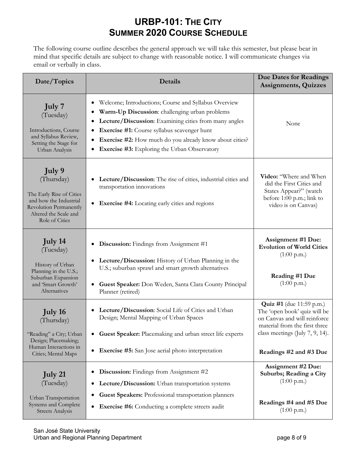# **URBP-101: THE CITY SUMMER 2020 COURSE SCHEDULE**

The following course outline describes the general approach we will take this semester, but please bear in mind that specific details are subject to change with reasonable notice. I will communicate changes via email or verbally in class.

| Date/Topics                                                                                                                                            | <b>Details</b>                                                                                                                                                                                                                                                                                                                                  | <b>Due Dates for Readings</b><br><b>Assignments, Quizzes</b>                                                                                                                                  |
|--------------------------------------------------------------------------------------------------------------------------------------------------------|-------------------------------------------------------------------------------------------------------------------------------------------------------------------------------------------------------------------------------------------------------------------------------------------------------------------------------------------------|-----------------------------------------------------------------------------------------------------------------------------------------------------------------------------------------------|
| July 7<br>(Tuesday)<br>Introductions, Course<br>and Syllabus Review,<br>Setting the Stage for<br>Urban Analysis                                        | Welcome; Introductions; Course and Syllabus Overview<br>٠<br>Warm-Up Discussion: challenging urban problems<br>Lecture/Discussion: Examining cities from many angles<br>٠<br>Exercise #1: Course syllabus scavenger hunt<br>٠<br>Exercise #2: How much do you already know about cities?<br><b>Exercise #3:</b> Exploring the Urban Observatory | None                                                                                                                                                                                          |
| July 9<br>(Thursday)<br>The Early Rise of Cities<br>and how the Industrial<br><b>Revolution Permanently</b><br>Altered the Scale and<br>Role of Cities | Lecture/Discussion: The rise of cities, industrial cities and<br>transportation innovations<br><b>Exercise #4:</b> Locating early cities and regions<br>$\bullet$                                                                                                                                                                               | Video: "Where and When<br>did the First Cities and<br>States Appear?" (watch<br>before 1:00 p.m.; link to<br>video is on Canvas)                                                              |
| July 14<br>(Tuesday)<br>History of Urban<br>Planning in the U.S.;<br>Suburban Expansion<br>and 'Smart Growth'<br>Alternatives                          | <b>Discussion:</b> Findings from Assignment #1<br><b>Lecture/Discussion:</b> History of Urban Planning in the<br>$\bullet$<br>U.S.; suburban sprawl and smart growth alternatives<br>Guest Speaker: Don Weden, Santa Clara County Principal<br>Planner (retired)                                                                                | Assignment #1 Due:<br><b>Evolution of World Cities</b><br>$(1:00 \text{ p.m.})$<br>Reading #1 Due<br>$(1:00 \text{ p.m.})$                                                                    |
| July 16<br>(Thursday)<br>"Reading" a City; Urban<br>Design; Placemaking;<br>Human Interactions in<br>Cities; Mental Maps                               | Lecture/Discussion: Social Life of Cities and Urban<br>Design; Mental Mapping of Urban Spaces<br>Guest Speaker: Placemaking and urban street life experts<br><b>Exercise #5:</b> San Jose aerial photo interpretation<br>$\bullet$                                                                                                              | <b>Quiz #1</b> (due 11:59 p.m.)<br>The 'open book' quiz will be<br>on Canvas and will reinforce<br>material from the first three<br>class meetings (July 7, 9, 14).<br>Readings #2 and #3 Due |
| July 21<br>(Tuesday)<br>Urban Transportation<br>Systems and Complete<br><b>Streets Analysis</b>                                                        | <b>Discussion:</b> Findings from Assignment #2<br>$\bullet$<br>Lecture/Discussion: Urban transportation systems<br>$\bullet$<br>Guest Speakers: Professional transportation planners<br><b>Exercise #6:</b> Conducting a complete streets audit<br>$\bullet$                                                                                    | <b>Assignment #2 Due:</b><br>Suburbs; Reading a City<br>$(1:00 \text{ p.m.})$<br>Readings #4 and #5 Due<br>(1:00 p.m.)                                                                        |